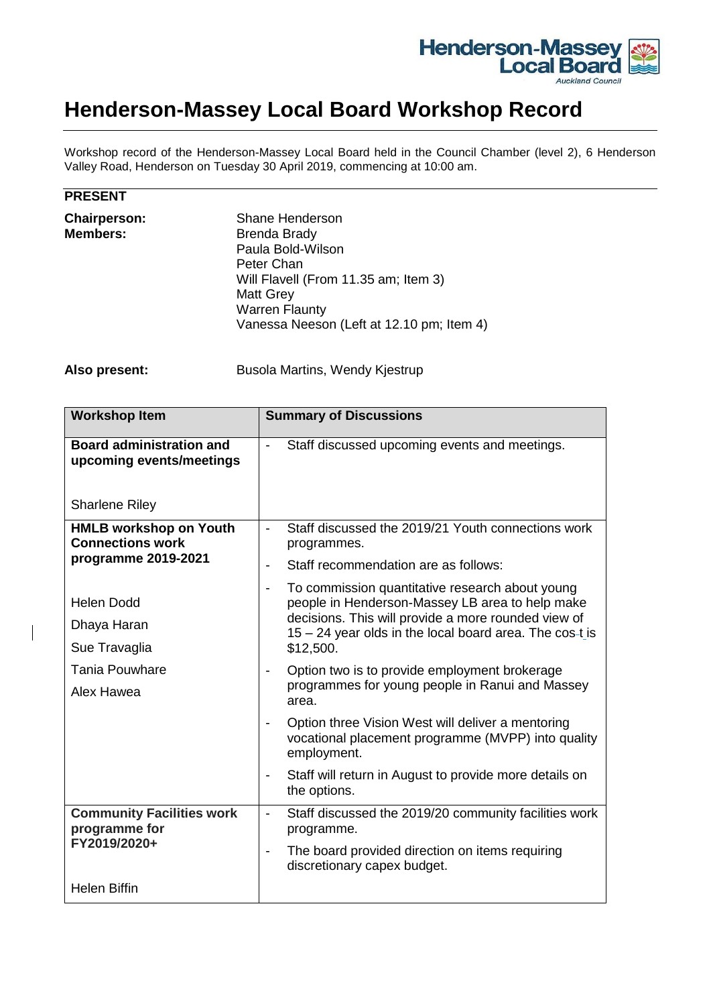

## **Henderson-Massey Local Board Workshop Record**

Workshop record of the Henderson-Massey Local Board held in the Council Chamber (level 2), 6 Henderson Valley Road, Henderson on Tuesday 30 April 2019, commencing at 10:00 am.

| −<br>ъ.<br>V.<br>$nE^{S-1}$<br>י⊐ט<br>. . |
|-------------------------------------------|
|-------------------------------------------|

| Shane Henderson                           |
|-------------------------------------------|
| <b>Brenda Brady</b>                       |
| Paula Bold-Wilson                         |
| Peter Chan                                |
| Will Flavell (From 11.35 am; Item 3)      |
| <b>Matt Grey</b>                          |
| <b>Warren Flaunty</b>                     |
| Vanessa Neeson (Left at 12.10 pm; Item 4) |
|                                           |

Also present: Busola Martins, Wendy Kjestrup

| <b>Workshop Item</b>                                                            | <b>Summary of Discussions</b>                                                                                                                                                                                 |
|---------------------------------------------------------------------------------|---------------------------------------------------------------------------------------------------------------------------------------------------------------------------------------------------------------|
| <b>Board administration and</b><br>upcoming events/meetings                     | Staff discussed upcoming events and meetings.<br>$\overline{\phantom{a}}$                                                                                                                                     |
| <b>Sharlene Riley</b>                                                           |                                                                                                                                                                                                               |
| <b>HMLB workshop on Youth</b><br><b>Connections work</b><br>programme 2019-2021 | Staff discussed the 2019/21 Youth connections work<br>$\blacksquare$<br>programmes.<br>Staff recommendation are as follows:<br>$\overline{\phantom{a}}$                                                       |
|                                                                                 |                                                                                                                                                                                                               |
| Alex Hawea                                                                      | area.                                                                                                                                                                                                         |
|                                                                                 | Option three Vision West will deliver a mentoring<br>$\overline{\phantom{a}}$<br>vocational placement programme (MVPP) into quality<br>employment.                                                            |
|                                                                                 | Staff will return in August to provide more details on<br>$\overline{\phantom{a}}$<br>the options.                                                                                                            |
| <b>Community Facilities work</b><br>programme for                               | Staff discussed the 2019/20 community facilities work<br>$\overline{\phantom{a}}$<br>programme.<br>The board provided direction on items requiring<br>$\overline{\phantom{a}}$<br>discretionary capex budget. |
| FY2019/2020+                                                                    |                                                                                                                                                                                                               |
| <b>Helen Biffin</b>                                                             |                                                                                                                                                                                                               |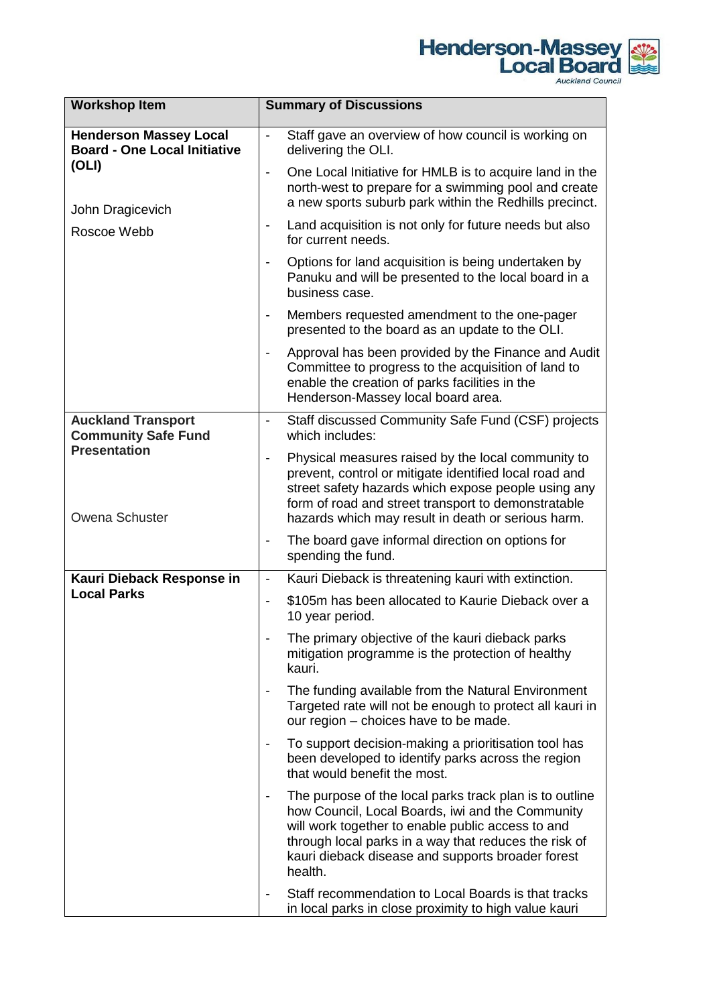

| <b>Workshop Item</b>                                                                                             | <b>Summary of Discussions</b>                                                                                                                                                                                                                                                                                |
|------------------------------------------------------------------------------------------------------------------|--------------------------------------------------------------------------------------------------------------------------------------------------------------------------------------------------------------------------------------------------------------------------------------------------------------|
| <b>Henderson Massey Local</b><br><b>Board - One Local Initiative</b><br>(OLI)<br>John Dragicevich<br>Roscoe Webb | Staff gave an overview of how council is working on<br>$\overline{\phantom{a}}$<br>delivering the OLI.                                                                                                                                                                                                       |
|                                                                                                                  | One Local Initiative for HMLB is to acquire land in the<br>$\blacksquare$<br>north-west to prepare for a swimming pool and create<br>a new sports suburb park within the Redhills precinct.                                                                                                                  |
|                                                                                                                  | Land acquisition is not only for future needs but also<br>$\qquad \qquad \blacksquare$<br>for current needs.                                                                                                                                                                                                 |
|                                                                                                                  | Options for land acquisition is being undertaken by<br>$\overline{\phantom{a}}$<br>Panuku and will be presented to the local board in a<br>business case.                                                                                                                                                    |
|                                                                                                                  | Members requested amendment to the one-pager<br>$\overline{\phantom{a}}$<br>presented to the board as an update to the OLI.                                                                                                                                                                                  |
|                                                                                                                  | Approval has been provided by the Finance and Audit<br>$\overline{\phantom{a}}$<br>Committee to progress to the acquisition of land to<br>enable the creation of parks facilities in the<br>Henderson-Massey local board area.                                                                               |
| <b>Auckland Transport</b><br><b>Community Safe Fund</b>                                                          | Staff discussed Community Safe Fund (CSF) projects<br>$\blacksquare$<br>which includes:                                                                                                                                                                                                                      |
| <b>Presentation</b><br>Owena Schuster                                                                            | Physical measures raised by the local community to<br>$\overline{\phantom{a}}$<br>prevent, control or mitigate identified local road and<br>street safety hazards which expose people using any<br>form of road and street transport to demonstratable<br>hazards which may result in death or serious harm. |
|                                                                                                                  | The board gave informal direction on options for<br>$\overline{\phantom{a}}$<br>spending the fund.                                                                                                                                                                                                           |
| Kauri Dieback Response in                                                                                        | Kauri Dieback is threatening kauri with extinction.<br>$\overline{\phantom{a}}$                                                                                                                                                                                                                              |
| <b>Local Parks</b>                                                                                               | \$105m has been allocated to Kaurie Dieback over a<br>$\blacksquare$<br>10 year period.                                                                                                                                                                                                                      |
|                                                                                                                  | The primary objective of the kauri dieback parks<br>mitigation programme is the protection of healthy<br>kauri.                                                                                                                                                                                              |
|                                                                                                                  | The funding available from the Natural Environment<br>Targeted rate will not be enough to protect all kauri in<br>our region – choices have to be made.                                                                                                                                                      |
|                                                                                                                  | To support decision-making a prioritisation tool has<br>$\overline{\phantom{a}}$<br>been developed to identify parks across the region<br>that would benefit the most.                                                                                                                                       |
|                                                                                                                  | The purpose of the local parks track plan is to outline<br>how Council, Local Boards, iwi and the Community<br>will work together to enable public access to and<br>through local parks in a way that reduces the risk of<br>kauri dieback disease and supports broader forest<br>health.                    |
|                                                                                                                  | Staff recommendation to Local Boards is that tracks<br>in local parks in close proximity to high value kauri                                                                                                                                                                                                 |